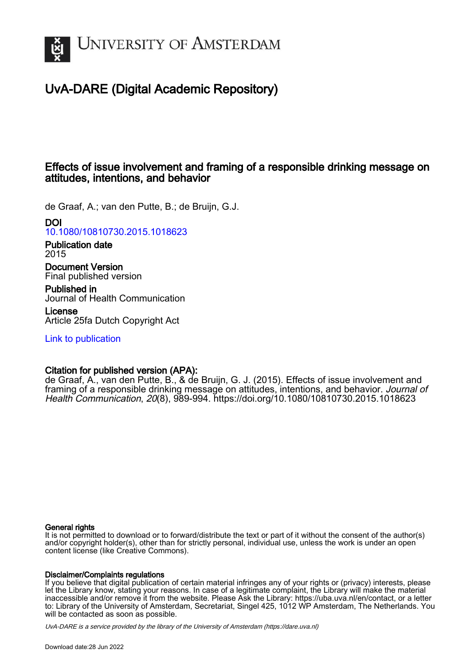

# UvA-DARE (Digital Academic Repository)

# Effects of issue involvement and framing of a responsible drinking message on attitudes, intentions, and behavior

de Graaf, A.; van den Putte, B.; de Bruijn, G.J.

## DOI

[10.1080/10810730.2015.1018623](https://doi.org/10.1080/10810730.2015.1018623)

Publication date 2015

Document Version Final published version

Published in Journal of Health Communication

License Article 25fa Dutch Copyright Act

[Link to publication](https://dare.uva.nl/personal/pure/en/publications/effects-of-issue-involvement-and-framing-of-a-responsible-drinking-message-on-attitudes-intentions-and-behavior(c2bedee1-53d6-4f6d-a9f7-dbf6ef205315).html)

## Citation for published version (APA):

de Graaf, A., van den Putte, B., & de Bruijn, G. J. (2015). Effects of issue involvement and framing of a responsible drinking message on attitudes, intentions, and behavior. Journal of Health Communication, 20(8), 989-994.<https://doi.org/10.1080/10810730.2015.1018623>

## General rights

It is not permitted to download or to forward/distribute the text or part of it without the consent of the author(s) and/or copyright holder(s), other than for strictly personal, individual use, unless the work is under an open content license (like Creative Commons).

## Disclaimer/Complaints regulations

If you believe that digital publication of certain material infringes any of your rights or (privacy) interests, please let the Library know, stating your reasons. In case of a legitimate complaint, the Library will make the material inaccessible and/or remove it from the website. Please Ask the Library: https://uba.uva.nl/en/contact, or a letter to: Library of the University of Amsterdam, Secretariat, Singel 425, 1012 WP Amsterdam, The Netherlands. You will be contacted as soon as possible.

UvA-DARE is a service provided by the library of the University of Amsterdam (http*s*://dare.uva.nl)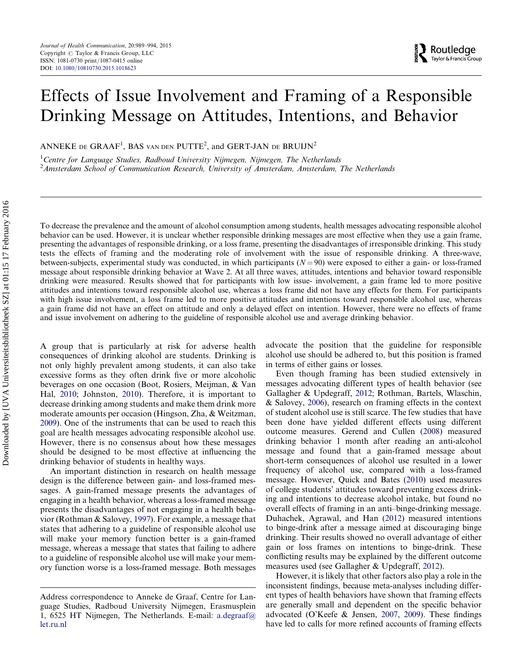# Effects of Issue Involvement and Framing of a Responsible Drinking Message on Attitudes, Intentions, and Behavior

ANNEKE DE GRAAF<sup>1</sup>, BAS van den PUTTE<sup>2</sup>, and GERT-JAN de BRUIJN<sup>2</sup>

<sup>1</sup> Centre for Language Studies, Radboud University Nijmegen, Nijmegen, The Netherlands <sup>2</sup> Amsterdam School of Communication Research, University of Amsterdam, Amsterdam, The Netherlands

Downloaded by [UVA Universiteitsbibliotheek SZ] at 01:15 17 February 2016 Downloaded by [UVA Universiteitsbibliotheek SZ] at 01:15 17 February 2016

To decrease the prevalence and the amount of alcohol consumption among students, health messages advocating responsible alcohol behavior can be used. However, it is unclear whether responsible drinking messages are most effective when they use a gain frame, presenting the advantages of responsible drinking, or a loss frame, presenting the disadvantages of irresponsible drinking. This study tests the effects of framing and the moderating role of involvement with the issue of responsible drinking. A three-wave, between-subjects, experimental study was conducted, in which participants  $(N = 90)$  were exposed to either a gain- or loss-framed message about responsible drinking behavior at Wave 2. At all three waves, attitudes, intentions and behavior toward responsible drinking were measured. Results showed that for participants with low issue- involvement, a gain frame led to more positive attitudes and intentions toward responsible alcohol use, whereas a loss frame did not have any effects for them. For participants with high issue involvement, a loss frame led to more positive attitudes and intentions toward responsible alcohol use, whereas a gain frame did not have an effect on attitude and only a delayed effect on intention. However, there were no effects of frame and issue involvement on adhering to the guideline of responsible alcohol use and average drinking behavior.

A group that is particularly at risk for adverse health consequences of drinking alcohol are students. Drinking is not only highly prevalent among students, it can also take excessive forms as they often drink five or more alcoholic beverages on one occasion (Boot, Rosiers, Meijman, & Van Hal, [2010](#page-6-0); Johnston, [2010](#page-6-0)). Therefore, it is important to decrease drinking among students and make them drink more moderate amounts per occasion (Hingson, Zha, & Weitzman, [2009\)](#page-6-0). One of the instruments that can be used to reach this goal are health messages advocating responsible alcohol use. However, there is no consensus about how these messages should be designed to be most effective at influencing the drinking behavior of students in healthy ways.

An important distinction in research on health message design is the difference between gain- and loss-framed messages. A gain-framed message presents the advantages of engaging in a health behavior, whereas a loss-framed message presents the disadvantages of not engaging in a health behavior (Rothman & Salovey, [1997](#page-6-0)). For example, a message that states that adhering to a guideline of responsible alcohol use will make your memory function better is a gain-framed message, whereas a message that states that failing to adhere to a guideline of responsible alcohol use will make your memory function worse is a loss-framed message. Both messages advocate the position that the guideline for responsible alcohol use should be adhered to, but this position is framed in terms of either gains or losses.

Even though framing has been studied extensively in messages advocating different types of health behavior (see Gallagher & Updegraff, [2012](#page-6-0); Rothman, Bartels, Wlaschin, & Salovey, [2006](#page-6-0)), research on framing effects in the context of student alcohol use is still scarce. The few studies that have been done have yielded different effects using different outcome measures. Gerend and Cullen [\(2008\)](#page-6-0) measured drinking behavior 1 month after reading an anti-alcohol message and found that a gain-framed message about short-term consequences of alcohol use resulted in a lower frequency of alcohol use, compared with a loss-framed message. However, Quick and Bates [\(2010\)](#page-6-0) used measures of college students' attitudes toward preventing excess drinking and intentions to decrease alcohol intake, but found no overall effects of framing in an anti–binge-drinking message. Duhachek, Agrawal, and Han ([2012\)](#page-6-0) measured intentions to binge-drink after a message aimed at discouraging binge drinking. Their results showed no overall advantage of either gain or loss frames on intentions to binge-drink. These conflicting results may be explained by the different outcome measures used (see Gallagher & Updegraff, [2012\)](#page-6-0).

However, it is likely that other factors also play a role in the inconsistent findings, because meta-analyses including different types of health behaviors have shown that framing effects are generally small and dependent on the specific behavior advocated (O'Keefe & Jensen, [2007,](#page-6-0) [2009\)](#page-6-0). These findings have led to calls for more refined accounts of framing effects

Address correspondence to Anneke de Graaf, Centre for Language Studies, Radboud University Nijmegen, Erasmusplein 1, 6525 HT Nijmegen, The Netherlands. E-mail: [a.degraaf@](mailto:a.degraaf@let.ru.nl) [let.ru.nl](mailto:a.degraaf@let.ru.nl)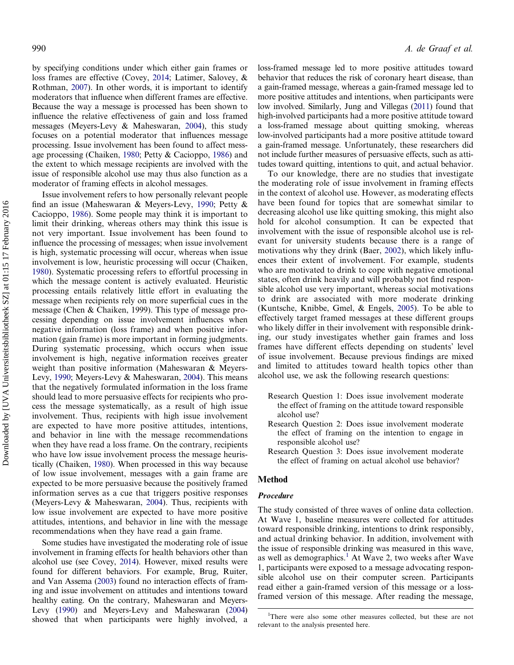by specifying conditions under which either gain frames or loss frames are effective (Covey, [2014](#page-6-0); Latimer, Salovey, & Rothman, [2007](#page-6-0)). In other words, it is important to identify moderators that influence when different frames are effective. Because the way a message is processed has been shown to influence the relative effectiveness of gain and loss framed messages (Meyers-Levy & Maheswaran, [2004](#page-6-0)), this study focuses on a potential moderator that influences message processing. Issue involvement has been found to affect message processing (Chaiken, [1980;](#page-6-0) Petty & Cacioppo, [1986](#page-6-0)) and the extent to which message recipients are involved with the issue of responsible alcohol use may thus also function as a moderator of framing effects in alcohol messages.

Issue involvement refers to how personally relevant people find an issue (Maheswaran & Meyers-Levy, [1990](#page-6-0); Petty & Cacioppo, [1986](#page-6-0)). Some people may think it is important to limit their drinking, whereas others may think this issue is not very important. Issue involvement has been found to influence the processing of messages; when issue involvement is high, systematic processing will occur, whereas when issue involvement is low, heuristic processing will occur (Chaiken, [1980\)](#page-6-0). Systematic processing refers to effortful processing in which the message content is actively evaluated. Heuristic processing entails relatively little effort in evaluating the message when recipients rely on more superficial cues in the message (Chen & Chaiken, 1999). This type of message processing depending on issue involvement influences when negative information (loss frame) and when positive information (gain frame) is more important in forming judgments. During systematic processing, which occurs when issue involvement is high, negative information receives greater weight than positive information (Maheswaran & Meyers-Levy, [1990](#page-6-0); Meyers-Levy & Maheswaran, [2004](#page-6-0)). This means that the negatively formulated information in the loss frame should lead to more persuasive effects for recipients who process the message systematically, as a result of high issue involvement. Thus, recipients with high issue involvement are expected to have more positive attitudes, intentions, and behavior in line with the message recommendations when they have read a loss frame. On the contrary, recipients who have low issue involvement process the message heuristically (Chaiken, [1980](#page-6-0)). When processed in this way because of low issue involvement, messages with a gain frame are expected to be more persuasive because the positively framed information serves as a cue that triggers positive responses (Meyers-Levy & Maheswaran, [2004\)](#page-6-0). Thus, recipients with low issue involvement are expected to have more positive attitudes, intentions, and behavior in line with the message recommendations when they have read a gain frame.

Some studies have investigated the moderating role of issue involvement in framing effects for health behaviors other than alcohol use (see Covey, [2014\)](#page-6-0). However, mixed results were found for different behaviors. For example, Brug, Ruiter, and Van Assema [\(2003](#page-6-0)) found no interaction effects of framing and issue involvement on attitudes and intentions toward healthy eating. On the contrary, Maheswaran and Meyers-Levy [\(1990\)](#page-6-0) and Meyers-Levy and Maheswaran ([2004\)](#page-6-0) showed that when participants were highly involved, a

loss-framed message led to more positive attitudes toward behavior that reduces the risk of coronary heart disease, than a gain-framed message, whereas a gain-framed message led to more positive attitudes and intentions, when participants were low involved. Similarly, Jung and Villegas ([2011](#page-6-0)) found that high-involved participants had a more positive attitude toward a loss-framed message about quitting smoking, whereas low-involved participants had a more positive attitude toward a gain-framed message. Unfortunately, these researchers did not include further measures of persuasive effects, such as attitudes toward quitting, intentions to quit, and actual behavior.

To our knowledge, there are no studies that investigate the moderating role of issue involvement in framing effects in the context of alcohol use. However, as moderating effects have been found for topics that are somewhat similar to decreasing alcohol use like quitting smoking, this might also hold for alcohol consumption. It can be expected that involvement with the issue of responsible alcohol use is relevant for university students because there is a range of motivations why they drink (Baer, [2002](#page-6-0)), which likely influences their extent of involvement. For example, students who are motivated to drink to cope with negative emotional states, often drink heavily and will probably not find responsible alcohol use very important, whereas social motivations to drink are associated with more moderate drinking (Kuntsche, Knibbe, Gmel, & Engels, [2005](#page-6-0)). To be able to effectively target framed messages at these different groups who likely differ in their involvement with responsible drinking, our study investigates whether gain frames and loss frames have different effects depending on students' level of issue involvement. Because previous findings are mixed and limited to attitudes toward health topics other than alcohol use, we ask the following research questions:

- Research Question 1: Does issue involvement moderate the effect of framing on the attitude toward responsible alcohol use?
- Research Question 2: Does issue involvement moderate the effect of framing on the intention to engage in responsible alcohol use?
- Research Question 3: Does issue involvement moderate the effect of framing on actual alcohol use behavior?

#### Method

#### Procedure

The study consisted of three waves of online data collection. At Wave 1, baseline measures were collected for attitudes toward responsible drinking, intentions to drink responsibly, and actual drinking behavior. In addition, involvement with the issue of responsible drinking was measured in this wave, as well as demographics.<sup>1</sup> At Wave 2, two weeks after Wave 1, participants were exposed to a message advocating responsible alcohol use on their computer screen. Participants read either a gain-framed version of this message or a lossframed version of this message. After reading the message,

<sup>&</sup>lt;sup>1</sup>There were also some other measures collected, but these are not relevant to the analysis presented here.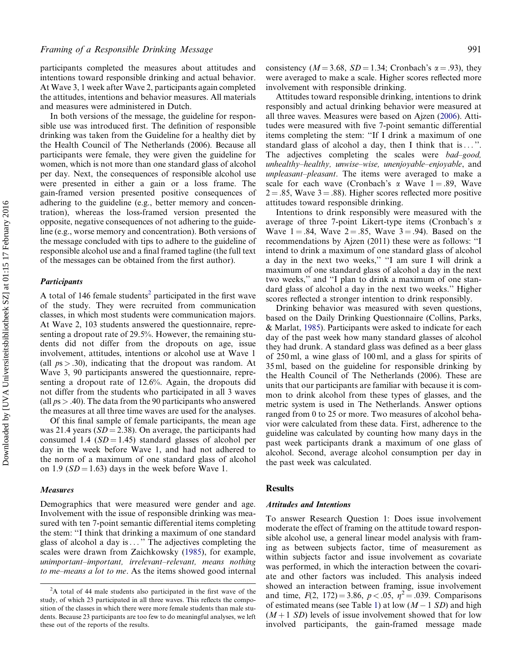participants completed the measures about attitudes and intentions toward responsible drinking and actual behavior. At Wave 3, 1 week after Wave 2, participants again completed the attitudes, intentions and behavior measures. All materials and measures were administered in Dutch.

In both versions of the message, the guideline for responsible use was introduced first. The definition of responsible drinking was taken from the Guideline for a healthy diet by the Health Council of The Netherlands (2006). Because all participants were female, they were given the guideline for women, which is not more than one standard glass of alcohol per day. Next, the consequences of responsible alcohol use were presented in either a gain or a loss frame. The gain-framed version presented positive consequences of adhering to the guideline (e.g., better memory and concentration), whereas the loss-framed version presented the opposite, negative consequences of not adhering to the guideline (e.g., worse memory and concentration). Both versions of the message concluded with tips to adhere to the guideline of responsible alcohol use and a final framed tagline (the full text of the messages can be obtained from the first author).

#### **Participants**

A total of 146 female students<sup>2</sup> participated in the first wave of the study. They were recruited from communication classes, in which most students were communication majors. At Wave 2, 103 students answered the questionnaire, representing a dropout rate of 29.5%. However, the remaining students did not differ from the dropouts on age, issue involvement, attitudes, intentions or alcohol use at Wave 1 (all  $ps > .30$ ), indicating that the dropout was random. At Wave 3, 90 participants answered the questionnaire, representing a dropout rate of 12.6%. Again, the dropouts did not differ from the students who participated in all 3 waves (all  $ps > .40$ ). The data from the 90 participants who answered the measures at all three time waves are used for the analyses.

Of this final sample of female participants, the mean age was 21.4 years ( $SD = 2.38$ ). On average, the participants had consumed 1.4  $(SD = 1.45)$  standard glasses of alcohol per day in the week before Wave 1, and had not adhered to the norm of a maximum of one standard glass of alcohol on 1.9 ( $SD = 1.63$ ) days in the week before Wave 1.

#### Measures

Demographics that were measured were gender and age. Involvement with the issue of responsible drinking was measured with ten 7-point semantic differential items completing the stem: ''I think that drinking a maximum of one standard glass of alcohol a day is... '' The adjectives completing the scales were drawn from Zaichkowsky [\(1985](#page-6-0)), for example, unimportant–important, irrelevant–relevant, means nothing to me–means a lot to me. As the items showed good internal

consistency ( $M = 3.68$ ,  $SD = 1.34$ ; Cronbach's  $\alpha = .93$ ), they were averaged to make a scale. Higher scores reflected more involvement with responsible drinking.

Attitudes toward responsible drinking, intentions to drink responsibly and actual drinking behavior were measured at all three waves. Measures were based on Ajzen [\(2006](#page-6-0)). Attitudes were measured with five 7-point semantic differential items completing the stem: ''If I drink a maximum of one standard glass of alcohol a day, then I think that is... ''. The adjectives completing the scales were *bad–good*, unhealthy–healthy, unwise–wise, unenjoyable–enjoyable, and unpleasant–pleasant. The items were averaged to make a scale for each wave (Cronbach's  $\alpha$  Wave 1 = .89, Wave  $2 = .85$ , Wave  $3 = .88$ ). Higher scores reflected more positive attitudes toward responsible drinking.

Intentions to drink responsibly were measured with the average of three 7-point Likert-type items (Cronbach's  $\alpha$ Wave  $1 = .84$ , Wave  $2 = .85$ , Wave  $3 = .94$ ). Based on the recommendations by Ajzen (2011) these were as follows: ''I intend to drink a maximum of one standard glass of alcohol a day in the next two weeks,'' ''I am sure I will drink a maximum of one standard glass of alcohol a day in the next two weeks,'' and ''I plan to drink a maximum of one standard glass of alcohol a day in the next two weeks.'' Higher scores reflected a stronger intention to drink responsibly.

Drinking behavior was measured with seven questions, based on the Daily Drinking Questionnaire (Collins, Parks, & Marlat, [1985\)](#page-6-0). Participants were asked to indicate for each day of the past week how many standard glasses of alcohol they had drunk. A standard glass was defined as a beer glass of 250 ml, a wine glass of 100 ml, and a glass for spirits of 35 ml, based on the guideline for responsible drinking by the Health Council of The Netherlands (2006). These are units that our participants are familiar with because it is common to drink alcohol from these types of glasses, and the metric system is used in The Netherlands. Answer options ranged from 0 to 25 or more. Two measures of alcohol behavior were calculated from these data. First, adherence to the guideline was calculated by counting how many days in the past week participants drank a maximum of one glass of alcohol. Second, average alcohol consumption per day in the past week was calculated.

### **Results**

#### Attitudes and Intentions

To answer Research Question 1: Does issue involvement moderate the effect of framing on the attitude toward responsible alcohol use, a general linear model analysis with framing as between subjects factor, time of measurement as within subjects factor and issue involvement as covariate was performed, in which the interaction between the covariate and other factors was included. This analysis indeed showed an interaction between framing, issue involvement and time,  $F(2, 172) = 3.86$ ,  $p < .05$ ,  $\eta^2 = .039$ . Comparisons of estimated means (see Table [1\)](#page-4-0) at low  $(M - 1 SD)$  and high  $(M+1)$  SD) levels of issue involvement showed that for low involved participants, the gain-framed message made

<sup>&</sup>lt;sup>2</sup>A total of 44 male students also participated in the first wave of the study, of which 23 participated in all three waves. This reflects the composition of the classes in which there were more female students than male students. Because 23 participants are too few to do meaningful analyses, we left these out of the reports of the results.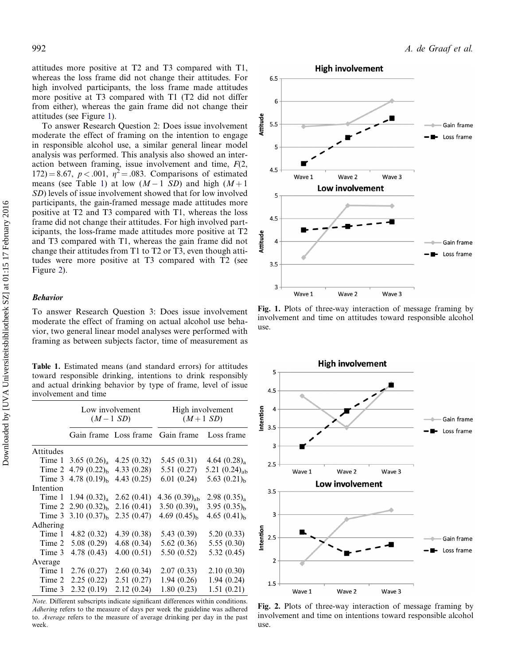<span id="page-4-0"></span>attitudes more positive at T2 and T3 compared with T1, whereas the loss frame did not change their attitudes. For high involved participants, the loss frame made attitudes more positive at T3 compared with T1 (T2 did not differ from either), whereas the gain frame did not change their attitudes (see Figure 1).

To answer Research Question 2: Does issue involvement moderate the effect of framing on the intention to engage in responsible alcohol use, a similar general linear model analysis was performed. This analysis also showed an interaction between framing, issue involvement and time,  $F(2)$ ,  $172$ ) = 8.67, p < .001,  $\eta^2$  = .083. Comparisons of estimated means (see Table 1) at low  $(M-1 SD)$  and high  $(M+1)$ SD) levels of issue involvement showed that for low involved participants, the gain-framed message made attitudes more positive at T2 and T3 compared with T1, whereas the loss frame did not change their attitudes. For high involved participants, the loss-frame made attitudes more positive at T2 and T3 compared with T1, whereas the gain frame did not change their attitudes from T1 to T2 or T3, even though attitudes were more positive at T3 compared with T2 (see Figure 2).

#### Behavior

To answer Research Question 3: Does issue involvement moderate the effect of framing on actual alcohol use behavior, two general linear model analyses were performed with framing as between subjects factor, time of measurement as

Table 1. Estimated means (and standard errors) for attitudes toward responsible drinking, intentions to drink responsibly and actual drinking behavior by type of frame, level of issue involvement and time

|           | Low involvement<br>$(M-1 SD)$ |                       | High involvement<br>$(M+1 SD)$ |                    |
|-----------|-------------------------------|-----------------------|--------------------------------|--------------------|
|           |                               | Gain frame Loss frame | Gain frame                     | Loss frame         |
| Attitudes |                               |                       |                                |                    |
| Time 1    | 3.65 $(0.26)_{a}$             | 4.25(0.32)            | 5.45(0.31)                     | 4.64 $(0.28)_{a}$  |
|           | Time 2 4.79 $(0.22)_{h}$      | 4.33(0.28)            | 5.51(0.27)                     | 5.21 $(0.24)_{ab}$ |
|           | Time 3 4.78 $(0.19)_{h}$      | 4.43(0.25)            | 6.01(0.24)                     | 5.63 $(0.21)_{h}$  |
| Intention |                               |                       |                                |                    |
| Time 1    | 1.94 $(0.32)_{a}$             | 2.62(0.41)            | 4.36 $(0.39)_{ab}$             | 2.98 $(0.35)_{a}$  |
| Time 2    | $2.90(0.32)_{h}$              | 2.16(0.41)            | 3.50 $(0.39)_{a}$              | 3.95 $(0.35)_{h}$  |
| Time 3    | $3.10(0.37)_{h}$              | 2.35(0.47)            | 4.69 $(0.45)_{h}$              | 4.65 $(0.41)_{h}$  |
| Adhering  |                               |                       |                                |                    |
| Time 1    | 4.82(0.32)                    | 4.39(0.38)            | 5.43(0.39)                     | 5.20(0.33)         |
| Time 2    | 5.08(0.29)                    | 4.68(0.34)            | 5.62(0.36)                     | 5.55(0.30)         |
| Time 3    | 4.78(0.43)                    | 4.00(0.51)            | 5.50(0.52)                     | 5.32(0.45)         |
| Average   |                               |                       |                                |                    |
| Time 1    | 2.76(0.27)                    | 2.60(0.34)            | 2.07(0.33)                     | 2.10(0.30)         |
| Time 2    | 2.25(0.22)                    | 2.51(0.27)            | 1.94(0.26)                     | 1.94(0.24)         |
| Time 3    | 2.32(0.19)                    | 2.12(0.24)            | 1.80(0.23)                     | 1.51(0.21)         |

Note. Different subscripts indicate significant differences within conditions. Adhering refers to the measure of days per week the guideline was adhered to. Average refers to the measure of average drinking per day in the past week.



Fig. 1. Plots of three-way interaction of message framing by involvement and time on attitudes toward responsible alcohol use.



Fig. 2. Plots of three-way interaction of message framing by involvement and time on intentions toward responsible alcohol use.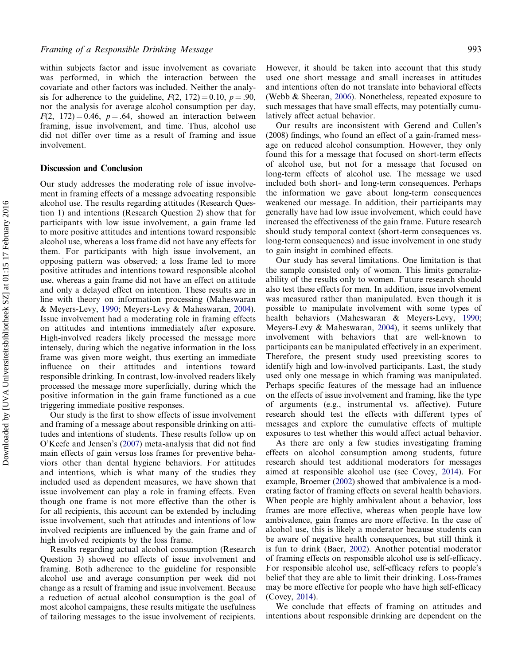within subjects factor and issue involvement as covariate was performed, in which the interaction between the covariate and other factors was included. Neither the analysis for adherence to the guideline,  $F(2, 172) = 0.10$ ,  $p = .90$ , nor the analysis for average alcohol consumption per day,  $F(2, 172) = 0.46$ ,  $p = .64$ , showed an interaction between framing, issue involvement, and time. Thus, alcohol use did not differ over time as a result of framing and issue involvement.

#### Discussion and Conclusion

Our study addresses the moderating role of issue involvement in framing effects of a message advocating responsible alcohol use. The results regarding attitudes (Research Question 1) and intentions (Research Question 2) show that for participants with low issue involvement, a gain frame led to more positive attitudes and intentions toward responsible alcohol use, whereas a loss frame did not have any effects for them. For participants with high issue involvement, an opposing pattern was observed; a loss frame led to more positive attitudes and intentions toward responsible alcohol use, whereas a gain frame did not have an effect on attitude and only a delayed effect on intention. These results are in line with theory on information processing (Maheswaran & Meyers-Levy, [1990;](#page-6-0) Meyers-Levy & Maheswaran, [2004\)](#page-6-0). Issue involvement had a moderating role in framing effects on attitudes and intentions immediately after exposure. High-involved readers likely processed the message more intensely, during which the negative information in the loss frame was given more weight, thus exerting an immediate influence on their attitudes and intentions toward responsible drinking. In contrast, low-involved readers likely processed the message more superficially, during which the positive information in the gain frame functioned as a cue triggering immediate positive responses.

Our study is the first to show effects of issue involvement and framing of a message about responsible drinking on attitudes and intentions of students. These results follow up on O'Keefe and Jensen's [\(2007](#page-6-0)) meta-analysis that did not find main effects of gain versus loss frames for preventive behaviors other than dental hygiene behaviors. For attitudes and intentions, which is what many of the studies they included used as dependent measures, we have shown that issue involvement can play a role in framing effects. Even though one frame is not more effective than the other is for all recipients, this account can be extended by including issue involvement, such that attitudes and intentions of low involved recipients are influenced by the gain frame and of high involved recipients by the loss frame.

Results regarding actual alcohol consumption (Research Question 3) showed no effects of issue involvement and framing. Both adherence to the guideline for responsible alcohol use and average consumption per week did not change as a result of framing and issue involvement. Because a reduction of actual alcohol consumption is the goal of most alcohol campaigns, these results mitigate the usefulness of tailoring messages to the issue involvement of recipients.

However, it should be taken into account that this study used one short message and small increases in attitudes and intentions often do not translate into behavioral effects (Webb & Sheeran, [2006\)](#page-6-0). Nonetheless, repeated exposure to such messages that have small effects, may potentially cumulatively affect actual behavior.

Our results are inconsistent with Gerend and Cullen's (2008) findings, who found an effect of a gain-framed message on reduced alcohol consumption. However, they only found this for a message that focused on short-term effects of alcohol use, but not for a message that focused on long-term effects of alcohol use. The message we used included both short- and long-term consequences. Perhaps the information we gave about long-term consequences weakened our message. In addition, their participants may generally have had low issue involvement, which could have increased the effectiveness of the gain frame. Future research should study temporal context (short-term consequences vs. long-term consequences) and issue involvement in one study to gain insight in combined effects.

Our study has several limitations. One limitation is that the sample consisted only of women. This limits generalizability of the results only to women. Future research should also test these effects for men. In addition, issue involvement was measured rather than manipulated. Even though it is possible to manipulate involvement with some types of health behaviors (Maheswaran & Meyers-Levy, [1990](#page-6-0); Meyers-Levy & Maheswaran, [2004\)](#page-6-0), it seems unlikely that involvement with behaviors that are well-known to participants can be manipulated effectively in an experiment. Therefore, the present study used preexisting scores to identify high and low-involved participants. Last, the study used only one message in which framing was manipulated. Perhaps specific features of the message had an influence on the effects of issue involvement and framing, like the type of arguments (e.g., instrumental vs. affective). Future research should test the effects with different types of messages and explore the cumulative effects of multiple exposures to test whether this would affect actual behavior.

As there are only a few studies investigating framing effects on alcohol consumption among students, future research should test additional moderators for messages aimed at responsible alcohol use (see Covey, [2014](#page-6-0)). For example, Broemer ([2002\)](#page-6-0) showed that ambivalence is a moderating factor of framing effects on several health behaviors. When people are highly ambivalent about a behavior, loss frames are more effective, whereas when people have low ambivalence, gain frames are more effective. In the case of alcohol use, this is likely a moderator because students can be aware of negative health consequences, but still think it is fun to drink (Baer, [2002](#page-6-0)). Another potential moderator of framing effects on responsible alcohol use is self-efficacy. For responsible alcohol use, self-efficacy refers to people's belief that they are able to limit their drinking. Loss-frames may be more effective for people who have high self-efficacy (Covey, [2014](#page-6-0)).

We conclude that effects of framing on attitudes and intentions about responsible drinking are dependent on the